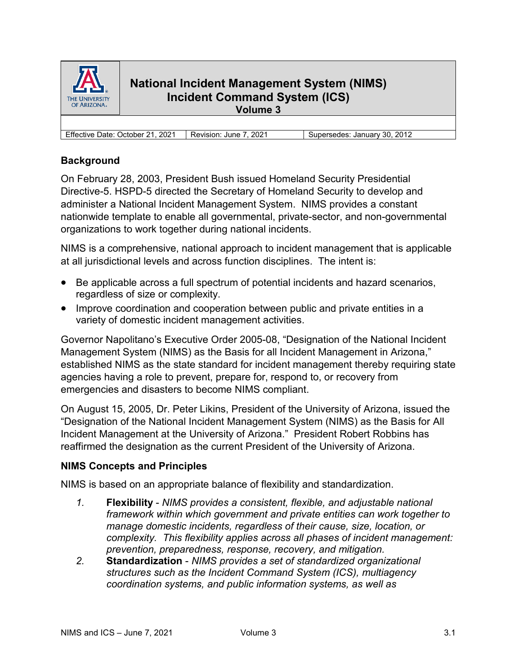

# **National Incident Management System (NIMS) Incident Command System (ICS) Volume 3**

Effective Date: October 21, 2021 | Revision: June 7, 2021 | Supersedes: January 30, 2012

# **Background**

On February 28, 2003, President Bush issued Homeland Security Presidential Directive-5. HSPD-5 directed the Secretary of Homeland Security to develop and administer a National Incident Management System. NIMS provides a constant nationwide template to enable all governmental, private-sector, and non-governmental organizations to work together during national incidents.

NIMS is a comprehensive, national approach to incident management that is applicable at all jurisdictional levels and across function disciplines. The intent is:

- Be applicable across a full spectrum of potential incidents and hazard scenarios, regardless of size or complexity.
- Improve coordination and cooperation between public and private entities in a variety of domestic incident management activities.

Governor Napolitano's Executive Order 2005-08, "Designation of the National Incident Management System (NIMS) as the Basis for all Incident Management in Arizona," established NIMS as the state standard for incident management thereby requiring state agencies having a role to prevent, prepare for, respond to, or recovery from emergencies and disasters to become NIMS compliant.

On August 15, 2005, Dr. Peter Likins, President of the University of Arizona, issued the "Designation of the National Incident Management System (NIMS) as the Basis for All Incident Management at the University of Arizona." President Robert Robbins has reaffirmed the designation as the current President of the University of Arizona.

## **NIMS Concepts and Principles**

NIMS is based on an appropriate balance of flexibility and standardization.

- *1.* **Flexibility**  *NIMS provides a consistent, flexible, and adjustable national framework within which government and private entities can work together to manage domestic incidents, regardless of their cause, size, location, or complexity. This flexibility applies across all phases of incident management: prevention, preparedness, response, recovery, and mitigation.*
- *2.* **Standardization** *NIMS provides a set of standardized organizational structures such as the Incident Command System (ICS), multiagency coordination systems, and public information systems, as well as*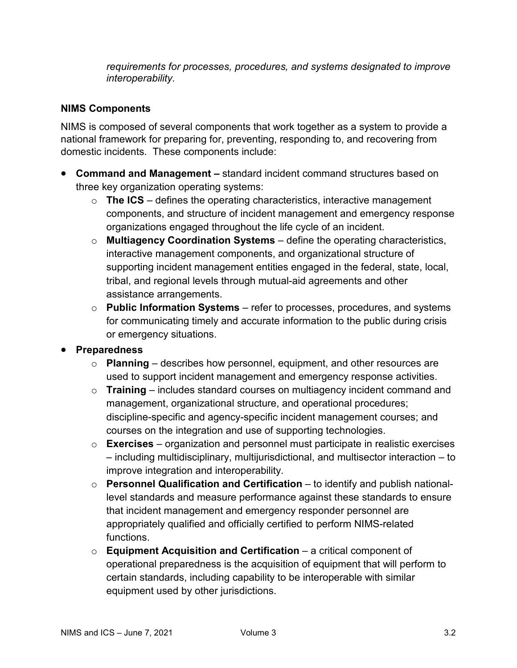*requirements for processes, procedures, and systems designated to improve interoperability.*

## **NIMS Components**

NIMS is composed of several components that work together as a system to provide a national framework for preparing for, preventing, responding to, and recovering from domestic incidents. These components include:

- **Command and Management** *–* standard incident command structures based on three key organization operating systems:
	- o **The ICS** defines the operating characteristics, interactive management components, and structure of incident management and emergency response organizations engaged throughout the life cycle of an incident.
	- o **Multiagency Coordination Systems** define the operating characteristics, interactive management components, and organizational structure of supporting incident management entities engaged in the federal, state, local, tribal, and regional levels through mutual-aid agreements and other assistance arrangements.
	- o **Public Information Systems** refer to processes, procedures, and systems for communicating timely and accurate information to the public during crisis or emergency situations.

## • **Preparedness**

- o **Planning** describes how personnel, equipment, and other resources are used to support incident management and emergency response activities.
- o **Training** includes standard courses on multiagency incident command and management, organizational structure, and operational procedures; discipline-specific and agency-specific incident management courses; and courses on the integration and use of supporting technologies.
- o **Exercises** organization and personnel must participate in realistic exercises – including multidisciplinary, multijurisdictional, and multisector interaction – to improve integration and interoperability.
- o **Personnel Qualification and Certification** to identify and publish nationallevel standards and measure performance against these standards to ensure that incident management and emergency responder personnel are appropriately qualified and officially certified to perform NIMS-related functions.
- o **Equipment Acquisition and Certification** a critical component of operational preparedness is the acquisition of equipment that will perform to certain standards, including capability to be interoperable with similar equipment used by other jurisdictions.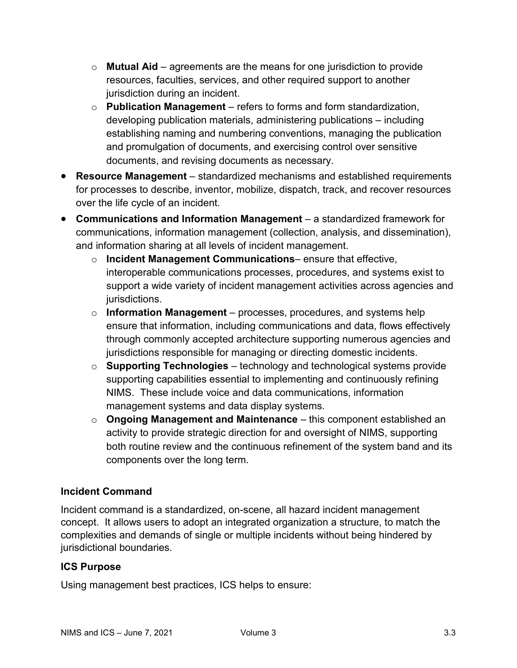- o **Mutual Aid** agreements are the means for one jurisdiction to provide resources, faculties, services, and other required support to another jurisdiction during an incident.
- o **Publication Management** refers to forms and form standardization, developing publication materials, administering publications – including establishing naming and numbering conventions, managing the publication and promulgation of documents, and exercising control over sensitive documents, and revising documents as necessary.
- **Resource Management** standardized mechanisms and established requirements for processes to describe, inventor, mobilize, dispatch, track, and recover resources over the life cycle of an incident.
- **Communications and Information Management** a standardized framework for communications, information management (collection, analysis, and dissemination), and information sharing at all levels of incident management.
	- o **Incident Management Communications** ensure that effective, interoperable communications processes, procedures, and systems exist to support a wide variety of incident management activities across agencies and jurisdictions.
	- o **Information Management** processes, procedures, and systems help ensure that information, including communications and data, flows effectively through commonly accepted architecture supporting numerous agencies and jurisdictions responsible for managing or directing domestic incidents.
	- o **Supporting Technologies** technology and technological systems provide supporting capabilities essential to implementing and continuously refining NIMS. These include voice and data communications, information management systems and data display systems.
	- o **Ongoing Management and Maintenance** this component established an activity to provide strategic direction for and oversight of NIMS, supporting both routine review and the continuous refinement of the system band and its components over the long term.

# **Incident Command**

Incident command is a standardized, on-scene, all hazard incident management concept. It allows users to adopt an integrated organization a structure, to match the complexities and demands of single or multiple incidents without being hindered by jurisdictional boundaries.

# **ICS Purpose**

Using management best practices, ICS helps to ensure: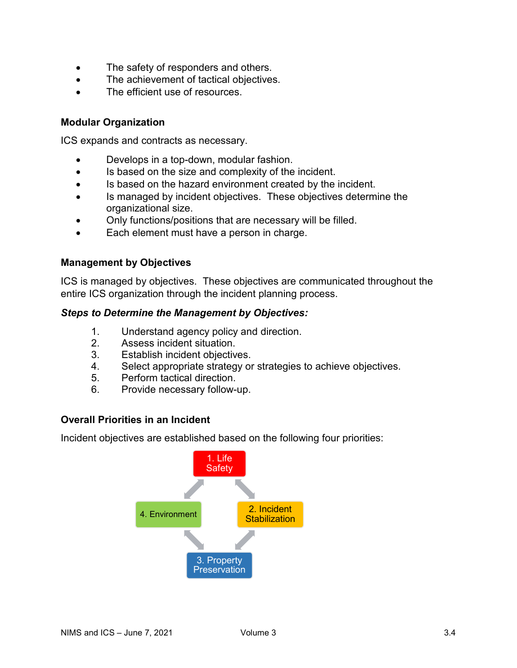- The safety of responders and others.
- The achievement of tactical objectives.
- The efficient use of resources.

## **Modular Organization**

ICS expands and contracts as necessary.

- Develops in a top-down, modular fashion.
- Is based on the size and complexity of the incident.
- Is based on the hazard environment created by the incident.
- Is managed by incident objectives. These objectives determine the organizational size.
- Only functions/positions that are necessary will be filled.
- Each element must have a person in charge.

### **Management by Objectives**

ICS is managed by objectives. These objectives are communicated throughout the entire ICS organization through the incident planning process.

### *Steps to Determine the Management by Objectives:*

- 1. Understand agency policy and direction.<br>2. Assess incident situation.
- Assess incident situation.
- 3. Establish incident objectives.
- 4. Select appropriate strategy or strategies to achieve objectives.
- 5. Perform tactical direction.
- 6. Provide necessary follow-up.

## **Overall Priorities in an Incident**

Incident objectives are established based on the following four priorities:

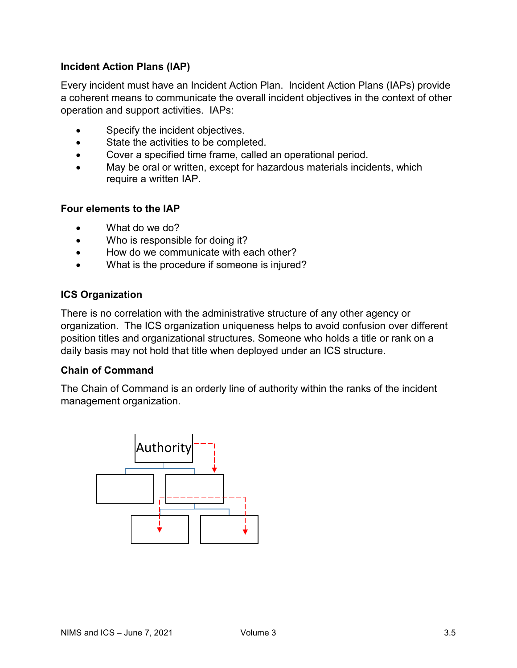# **Incident Action Plans (IAP)**

Every incident must have an Incident Action Plan. Incident Action Plans (IAPs) provide a coherent means to communicate the overall incident objectives in the context of other operation and support activities. IAPs:

- Specify the incident objectives.
- State the activities to be completed.
- Cover a specified time frame, called an operational period.
- May be oral or written, except for hazardous materials incidents, which require a written IAP.

### **Four elements to the IAP**

- What do we do?
- Who is responsible for doing it?
- How do we communicate with each other?
- What is the procedure if someone is injured?

### **ICS Organization**

There is no correlation with the administrative structure of any other agency or organization. The ICS organization uniqueness helps to avoid confusion over different position titles and organizational structures. Someone who holds a title or rank on a daily basis may not hold that title when deployed under an ICS structure.

### **Chain of Command**

The Chain of Command is an orderly line of authority within the ranks of the incident management organization.

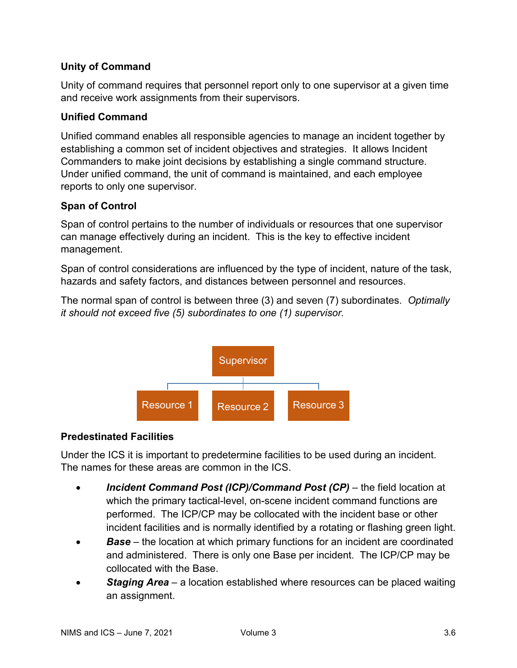# **Unity of Command**

Unity of command requires that personnel report only to one supervisor at a given time and receive work assignments from their supervisors.

## **Unified Command**

Unified command enables all responsible agencies to manage an incident together by establishing a common set of incident objectives and strategies. It allows Incident Commanders to make joint decisions by establishing a single command structure. Under unified command, the unit of command is maintained, and each employee reports to only one supervisor.

## **Span of Control**

Span of control pertains to the number of individuals or resources that one supervisor can manage effectively during an incident. This is the key to effective incident management.

Span of control considerations are influenced by the type of incident, nature of the task, hazards and safety factors, and distances between personnel and resources.

The normal span of control is between three (3) and seven (7) subordinates. *Optimally it should not exceed five (5) subordinates to one (1) supervisor.*



# **Predestinated Facilities**

Under the ICS it is important to predetermine facilities to be used during an incident. The names for these areas are common in the ICS.

- *Incident Command Post (ICP)/Command Post (CP)* the field location at which the primary tactical-level, on-scene incident command functions are performed. The ICP/CP may be collocated with the incident base or other incident facilities and is normally identified by a rotating or flashing green light.
- **Base** the location at which primary functions for an incident are coordinated and administered. There is only one Base per incident. The ICP/CP may be collocated with the Base.
- *Staging Area* a location established where resources can be placed waiting an assignment.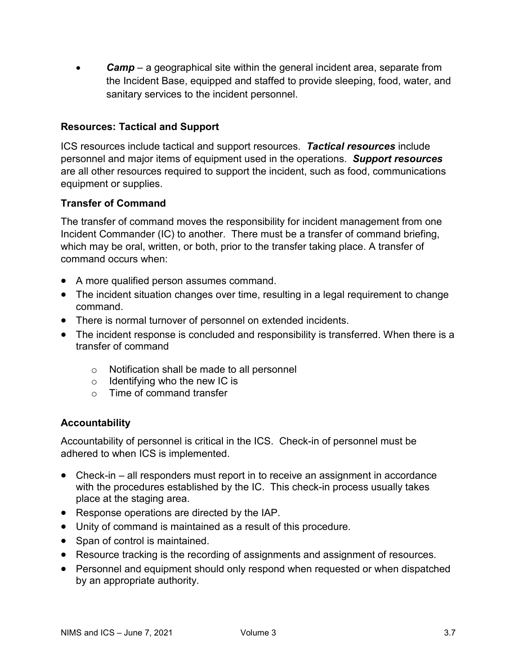• *Camp* – a geographical site within the general incident area, separate from the Incident Base, equipped and staffed to provide sleeping, food, water, and sanitary services to the incident personnel.

## **Resources: Tactical and Support**

ICS resources include tactical and support resources. *Tactical resources* include personnel and major items of equipment used in the operations. *Support resources* are all other resources required to support the incident, such as food, communications equipment or supplies.

## **Transfer of Command**

The transfer of command moves the responsibility for incident management from one Incident Commander (IC) to another. There must be a transfer of command briefing, which may be oral, written, or both, prior to the transfer taking place. A transfer of command occurs when:

- A more qualified person assumes command.
- The incident situation changes over time, resulting in a legal requirement to change command.
- There is normal turnover of personnel on extended incidents.
- The incident response is concluded and responsibility is transferred. When there is a transfer of command
	- o Notification shall be made to all personnel
	- $\circ$  Identifying who the new IC is
	- o Time of command transfer

## **Accountability**

Accountability of personnel is critical in the ICS. Check-in of personnel must be adhered to when ICS is implemented.

- Check-in all responders must report in to receive an assignment in accordance with the procedures established by the IC. This check-in process usually takes place at the staging area.
- Response operations are directed by the IAP.
- Unity of command is maintained as a result of this procedure.
- Span of control is maintained.
- Resource tracking is the recording of assignments and assignment of resources.
- Personnel and equipment should only respond when requested or when dispatched by an appropriate authority.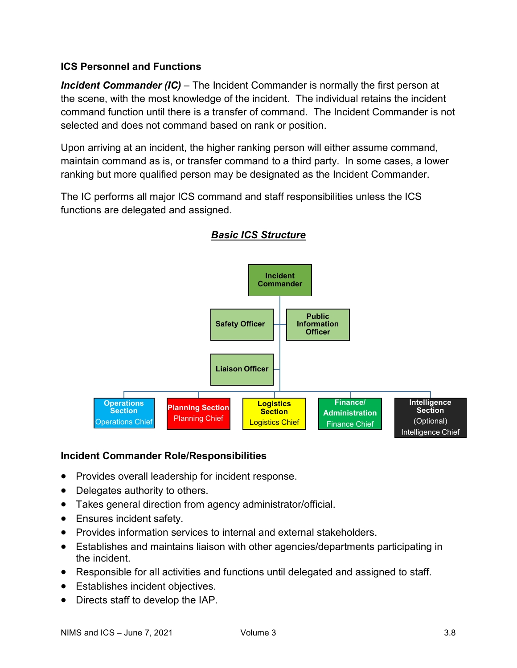# **ICS Personnel and Functions**

*Incident Commander (IC)* – The Incident Commander is normally the first person at the scene, with the most knowledge of the incident. The individual retains the incident command function until there is a transfer of command. The Incident Commander is not selected and does not command based on rank or position.

Upon arriving at an incident, the higher ranking person will either assume command, maintain command as is, or transfer command to a third party. In some cases, a lower ranking but more qualified person may be designated as the Incident Commander.

The IC performs all major ICS command and staff responsibilities unless the ICS functions are delegated and assigned.



# *Basic ICS Structure*

## **Incident Commander Role/Responsibilities**

- Provides overall leadership for incident response.
- Delegates authority to others.
- Takes general direction from agency administrator/official.
- Ensures incident safety.
- Provides information services to internal and external stakeholders.
- Establishes and maintains liaison with other agencies/departments participating in the incident.
- Responsible for all activities and functions until delegated and assigned to staff.
- Establishes incident objectives.
- Directs staff to develop the IAP.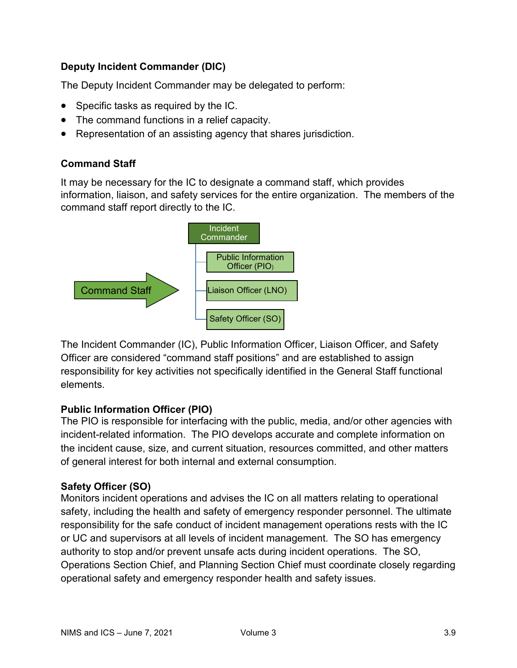# **Deputy Incident Commander (DIC)**

The Deputy Incident Commander may be delegated to perform:

- Specific tasks as required by the IC.
- The command functions in a relief capacity.
- Representation of an assisting agency that shares jurisdiction.

## **Command Staff**

It may be necessary for the IC to designate a command staff, which provides information, liaison, and safety services for the entire organization. The members of the command staff report directly to the IC.



The Incident Commander (IC), Public Information Officer, Liaison Officer, and Safety Officer are considered "command staff positions" and are established to assign responsibility for key activities not specifically identified in the General Staff functional elements.

# **Public Information Officer (PIO)**

The PIO is responsible for interfacing with the public, media, and/or other agencies with incident-related information. The PIO develops accurate and complete information on the incident cause, size, and current situation, resources committed, and other matters of general interest for both internal and external consumption.

# **Safety Officer (SO)**

Monitors incident operations and advises the IC on all matters relating to operational safety, including the health and safety of emergency responder personnel. The ultimate responsibility for the safe conduct of incident management operations rests with the IC or UC and supervisors at all levels of incident management. The SO has emergency authority to stop and/or prevent unsafe acts during incident operations. The SO, Operations Section Chief, and Planning Section Chief must coordinate closely regarding operational safety and emergency responder health and safety issues.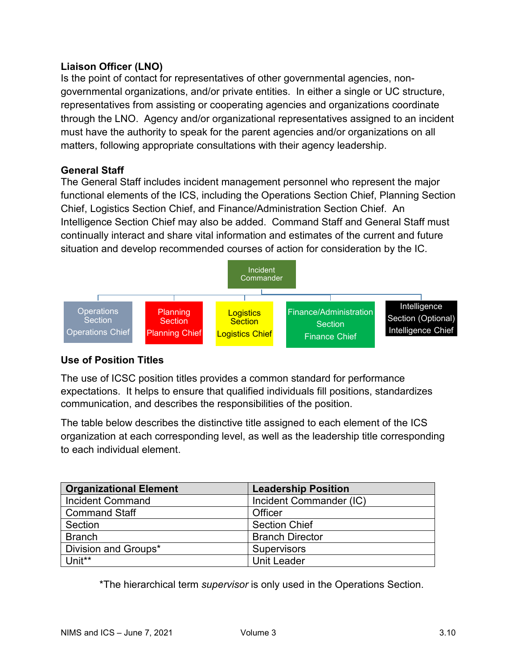# **Liaison Officer (LNO)**

Is the point of contact for representatives of other governmental agencies, nongovernmental organizations, and/or private entities. In either a single or UC structure, representatives from assisting or cooperating agencies and organizations coordinate through the LNO. Agency and/or organizational representatives assigned to an incident must have the authority to speak for the parent agencies and/or organizations on all matters, following appropriate consultations with their agency leadership.

## **General Staff**

The General Staff includes incident management personnel who represent the major functional elements of the ICS, including the Operations Section Chief, Planning Section Chief, Logistics Section Chief, and Finance/Administration Section Chief. An Intelligence Section Chief may also be added. Command Staff and General Staff must continually interact and share vital information and estimates of the current and future situation and develop recommended courses of action for consideration by the IC.



## **Use of Position Titles**

The use of ICSC position titles provides a common standard for performance expectations. It helps to ensure that qualified individuals fill positions, standardizes communication, and describes the responsibilities of the position.

The table below describes the distinctive title assigned to each element of the ICS organization at each corresponding level, as well as the leadership title corresponding to each individual element.

| <b>Organizational Element</b> | <b>Leadership Position</b> |
|-------------------------------|----------------------------|
| <b>Incident Command</b>       | Incident Commander (IC)    |
| <b>Command Staff</b>          | Officer                    |
| Section                       | <b>Section Chief</b>       |
| <b>Branch</b>                 | <b>Branch Director</b>     |
| Division and Groups*          | <b>Supervisors</b>         |
| Unit**                        | Unit Leader                |

\*The hierarchical term *supervisor* is only used in the Operations Section.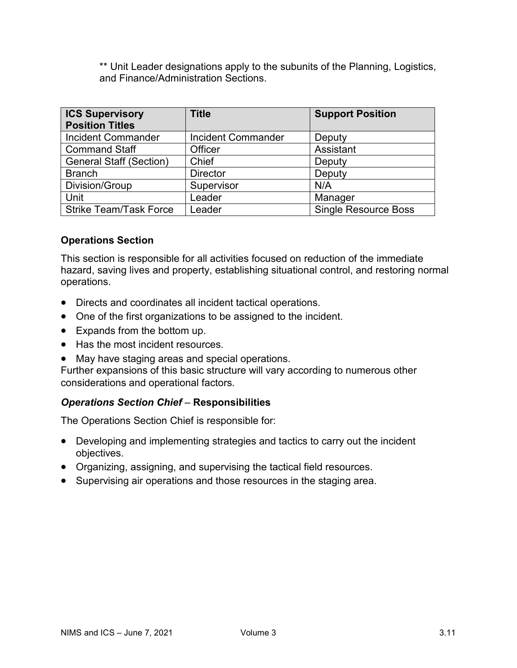\*\* Unit Leader designations apply to the subunits of the Planning, Logistics, and Finance/Administration Sections.

| <b>ICS Supervisory</b><br><b>Position Titles</b> | <b>Title</b>              | <b>Support Position</b>     |
|--------------------------------------------------|---------------------------|-----------------------------|
| <b>Incident Commander</b>                        | <b>Incident Commander</b> | Deputy                      |
| <b>Command Staff</b>                             | Officer                   | Assistant                   |
| <b>General Staff (Section)</b>                   | Chief                     | Deputy                      |
| <b>Branch</b>                                    | <b>Director</b>           | Deputy                      |
| Division/Group                                   | Supervisor                | N/A                         |
| Unit                                             | Leader                    | Manager                     |
| <b>Strike Team/Task Force</b>                    | Leader                    | <b>Single Resource Boss</b> |

## **Operations Section**

This section is responsible for all activities focused on reduction of the immediate hazard, saving lives and property, establishing situational control, and restoring normal operations.

- Directs and coordinates all incident tactical operations.
- One of the first organizations to be assigned to the incident.
- Expands from the bottom up.
- Has the most incident resources.
- May have staging areas and special operations.

Further expansions of this basic structure will vary according to numerous other considerations and operational factors.

## *Operations Section Chief –* **Responsibilities**

The Operations Section Chief is responsible for:

- Developing and implementing strategies and tactics to carry out the incident objectives.
- Organizing, assigning, and supervising the tactical field resources.
- Supervising air operations and those resources in the staging area.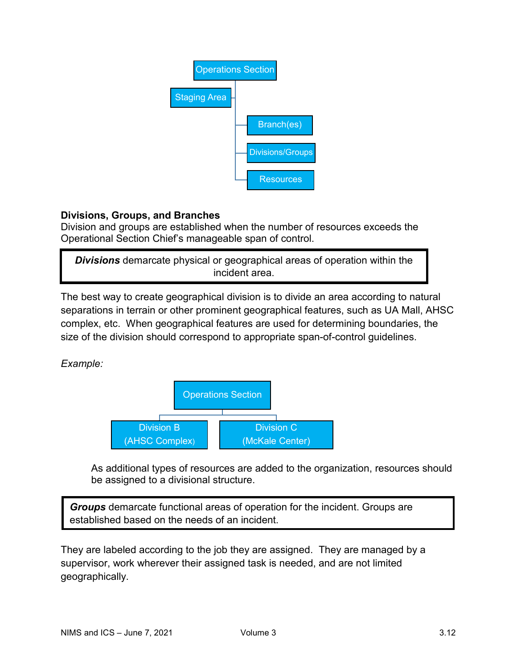

# **Divisions, Groups, and Branches**

Division and groups are established when the number of resources exceeds the Operational Section Chief's manageable span of control.

*Divisions* demarcate physical or geographical areas of operation within the incident area.

The best way to create geographical division is to divide an area according to natural separations in terrain or other prominent geographical features, such as UA Mall, AHSC complex, etc. When geographical features are used for determining boundaries, the size of the division should correspond to appropriate span-of-control guidelines.

*Example:*



As additional types of resources are added to the organization, resources should be assigned to a divisional structure.

*Groups* demarcate functional areas of operation for the incident. Groups are established based on the needs of an incident.

They are labeled according to the job they are assigned. They are managed by a supervisor, work wherever their assigned task is needed, and are not limited geographically.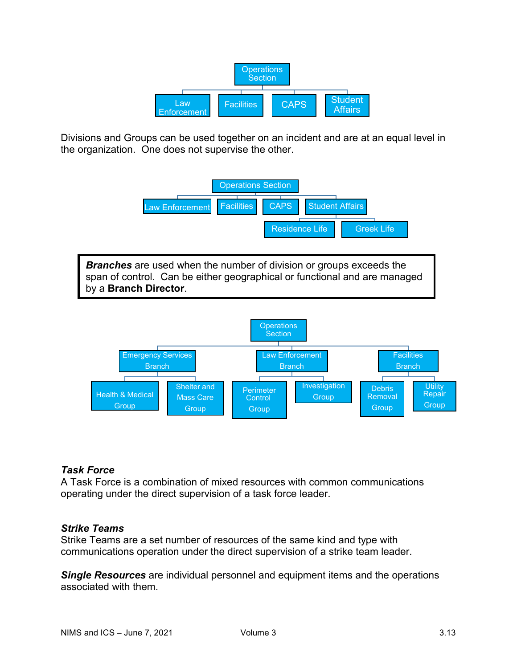

Divisions and Groups can be used together on an incident and are at an equal level in the organization. One does not supervise the other.



## *Task Force*

A Task Force is a combination of mixed resources with common communications operating under the direct supervision of a task force leader.

## *Strike Teams*

Strike Teams are a set number of resources of the same kind and type with communications operation under the direct supervision of a strike team leader.

*Single Resources* are individual personnel and equipment items and the operations associated with them.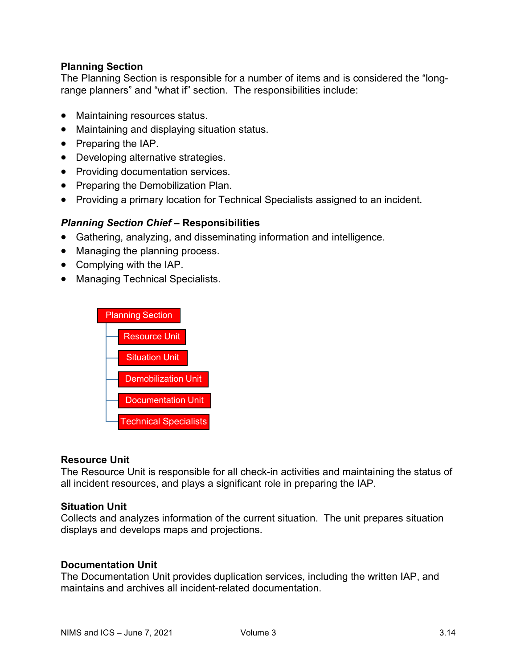## **Planning Section**

The Planning Section is responsible for a number of items and is considered the "longrange planners" and "what if" section. The responsibilities include:

- Maintaining resources status.
- Maintaining and displaying situation status.
- Preparing the IAP.
- Developing alternative strategies.
- Providing documentation services.
- Preparing the Demobilization Plan.
- Providing a primary location for Technical Specialists assigned to an incident.

### *Planning Section Chief* **– Responsibilities**

- Gathering, analyzing, and disseminating information and intelligence.
- Managing the planning process.
- Complying with the IAP.
- Managing Technical Specialists.



### **Resource Unit**

The Resource Unit is responsible for all check-in activities and maintaining the status of all incident resources, and plays a significant role in preparing the IAP.

### **Situation Unit**

Collects and analyzes information of the current situation. The unit prepares situation displays and develops maps and projections.

### **Documentation Unit**

The Documentation Unit provides duplication services, including the written IAP, and maintains and archives all incident-related documentation.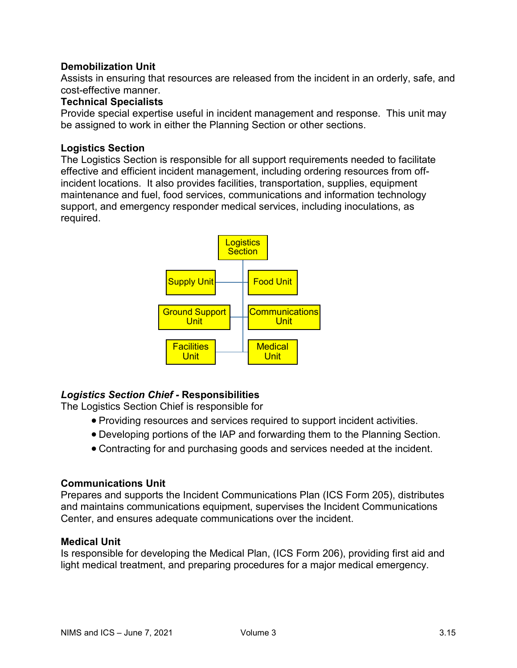## **Demobilization Unit**

Assists in ensuring that resources are released from the incident in an orderly, safe, and cost-effective manner.

## **Technical Specialists**

Provide special expertise useful in incident management and response. This unit may be assigned to work in either the Planning Section or other sections.

### **Logistics Section**

The Logistics Section is responsible for all support requirements needed to facilitate effective and efficient incident management, including ordering resources from offincident locations. It also provides facilities, transportation, supplies, equipment maintenance and fuel, food services, communications and information technology support, and emergency responder medical services, including inoculations, as required.



## *Logistics Section Chief -* **Responsibilities**

The Logistics Section Chief is responsible for

- Providing resources and services required to support incident activities.
- Developing portions of the IAP and forwarding them to the Planning Section.
- Contracting for and purchasing goods and services needed at the incident.

### **Communications Unit**

Prepares and supports the Incident Communications Plan (ICS Form 205), distributes and maintains communications equipment, supervises the Incident Communications Center, and ensures adequate communications over the incident.

### **Medical Unit**

Is responsible for developing the Medical Plan, (ICS Form 206), providing first aid and light medical treatment, and preparing procedures for a major medical emergency.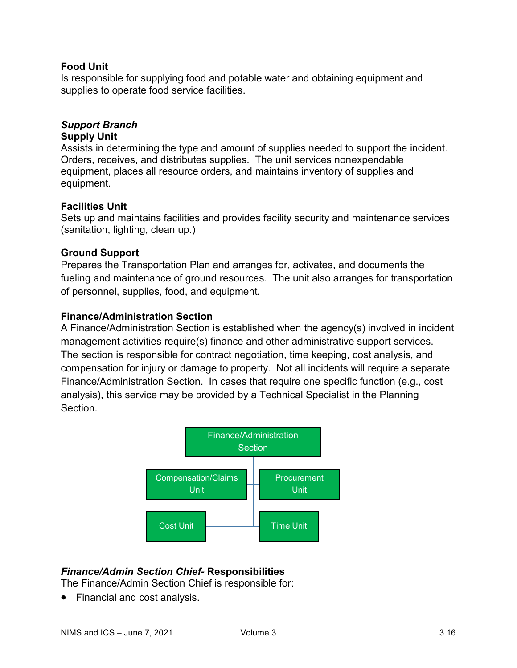## **Food Unit**

Is responsible for supplying food and potable water and obtaining equipment and supplies to operate food service facilities.

## *Support Branch*

### **Supply Unit**

Assists in determining the type and amount of supplies needed to support the incident. Orders, receives, and distributes supplies. The unit services nonexpendable equipment, places all resource orders, and maintains inventory of supplies and equipment.

### **Facilities Unit**

Sets up and maintains facilities and provides facility security and maintenance services (sanitation, lighting, clean up.)

### **Ground Support**

Prepares the Transportation Plan and arranges for, activates, and documents the fueling and maintenance of ground resources. The unit also arranges for transportation of personnel, supplies, food, and equipment.

### **Finance/Administration Section**

A Finance/Administration Section is established when the agency(s) involved in incident management activities require(s) finance and other administrative support services. The section is responsible for contract negotiation, time keeping, cost analysis, and compensation for injury or damage to property. Not all incidents will require a separate Finance/Administration Section. In cases that require one specific function (e.g., cost analysis), this service may be provided by a Technical Specialist in the Planning Section.



## *Finance/Admin Section Chief-* **Responsibilities**

The Finance/Admin Section Chief is responsible for:

• Financial and cost analysis.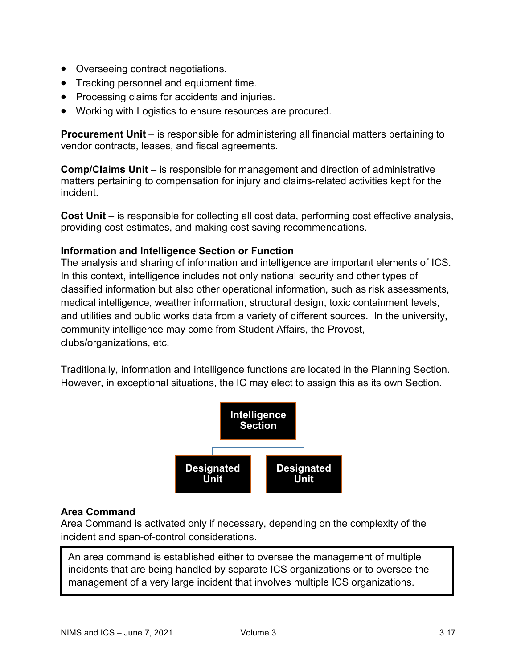- Overseeing contract negotiations.
- Tracking personnel and equipment time.
- Processing claims for accidents and injuries.
- Working with Logistics to ensure resources are procured.

**Procurement Unit** – is responsible for administering all financial matters pertaining to vendor contracts, leases, and fiscal agreements.

**Comp/Claims Unit** – is responsible for management and direction of administrative matters pertaining to compensation for injury and claims-related activities kept for the incident.

**Cost Unit** – is responsible for collecting all cost data, performing cost effective analysis, providing cost estimates, and making cost saving recommendations.

## **Information and Intelligence Section or Function**

The analysis and sharing of information and intelligence are important elements of ICS. In this context, intelligence includes not only national security and other types of classified information but also other operational information, such as risk assessments, medical intelligence, weather information, structural design, toxic containment levels, and utilities and public works data from a variety of different sources. In the university, community intelligence may come from Student Affairs, the Provost, clubs/organizations, etc.

Traditionally, information and intelligence functions are located in the Planning Section. However, in exceptional situations, the IC may elect to assign this as its own Section.



## **Area Command**

Area Command is activated only if necessary, depending on the complexity of the incident and span-of-control considerations.

An area command is established either to oversee the management of multiple incidents that are being handled by separate ICS organizations or to oversee the management of a very large incident that involves multiple ICS organizations.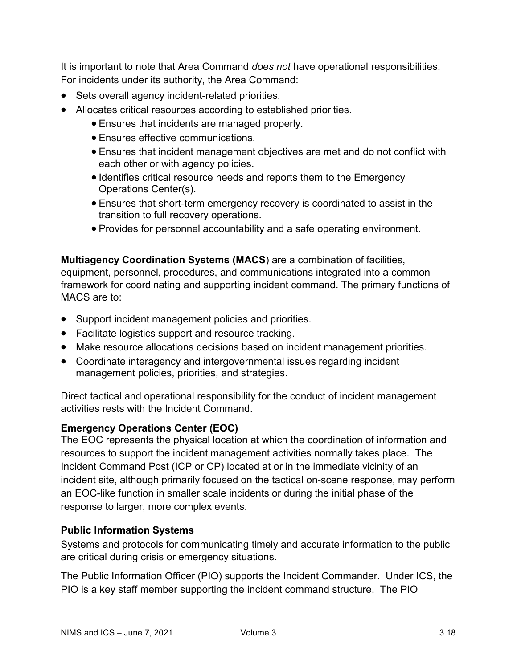It is important to note that Area Command *does not* have operational responsibilities. For incidents under its authority, the Area Command:

- Sets overall agency incident-related priorities.
- Allocates critical resources according to established priorities.
	- Ensures that incidents are managed properly.
	- Ensures effective communications.
	- Ensures that incident management objectives are met and do not conflict with each other or with agency policies.
	- Identifies critical resource needs and reports them to the Emergency Operations Center(s).
	- Ensures that short-term emergency recovery is coordinated to assist in the transition to full recovery operations.
	- Provides for personnel accountability and a safe operating environment.

**Multiagency Coordination Systems (MACS**) are a combination of facilities, equipment, personnel, procedures, and communications integrated into a common framework for coordinating and supporting incident command. The primary functions of MACS are to:

- Support incident management policies and priorities.
- Facilitate logistics support and resource tracking.
- Make resource allocations decisions based on incident management priorities.
- Coordinate interagency and intergovernmental issues regarding incident management policies, priorities, and strategies.

Direct tactical and operational responsibility for the conduct of incident management activities rests with the Incident Command.

# **Emergency Operations Center (EOC)**

The EOC represents the physical location at which the coordination of information and resources to support the incident management activities normally takes place. The Incident Command Post (ICP or CP) located at or in the immediate vicinity of an incident site, although primarily focused on the tactical on-scene response, may perform an EOC-like function in smaller scale incidents or during the initial phase of the response to larger, more complex events.

# **Public Information Systems**

Systems and protocols for communicating timely and accurate information to the public are critical during crisis or emergency situations.

The Public Information Officer (PIO) supports the Incident Commander. Under ICS, the PIO is a key staff member supporting the incident command structure. The PIO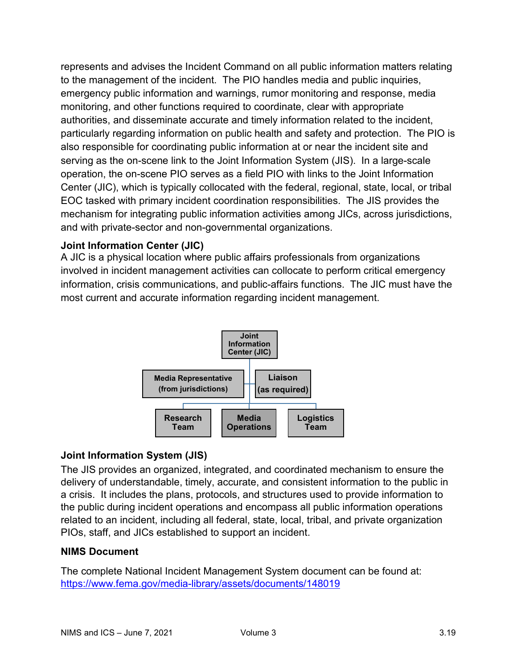represents and advises the Incident Command on all public information matters relating to the management of the incident. The PIO handles media and public inquiries, emergency public information and warnings, rumor monitoring and response, media monitoring, and other functions required to coordinate, clear with appropriate authorities, and disseminate accurate and timely information related to the incident, particularly regarding information on public health and safety and protection. The PIO is also responsible for coordinating public information at or near the incident site and serving as the on-scene link to the Joint Information System (JIS). In a large-scale operation, the on-scene PIO serves as a field PIO with links to the Joint Information Center (JIC), which is typically collocated with the federal, regional, state, local, or tribal EOC tasked with primary incident coordination responsibilities. The JIS provides the mechanism for integrating public information activities among JICs, across jurisdictions, and with private-sector and non-governmental organizations.

# **Joint Information Center (JIC)**

A JIC is a physical location where public affairs professionals from organizations involved in incident management activities can collocate to perform critical emergency information, crisis communications, and public-affairs functions. The JIC must have the most current and accurate information regarding incident management.



# **Joint Information System (JIS)**

The JIS provides an organized, integrated, and coordinated mechanism to ensure the delivery of understandable, timely, accurate, and consistent information to the public in a crisis. It includes the plans, protocols, and structures used to provide information to the public during incident operations and encompass all public information operations related to an incident, including all federal, state, local, tribal, and private organization PIOs, staff, and JICs established to support an incident.

# **NIMS Document**

The complete National Incident Management System document can be found at: <https://www.fema.gov/media-library/assets/documents/148019>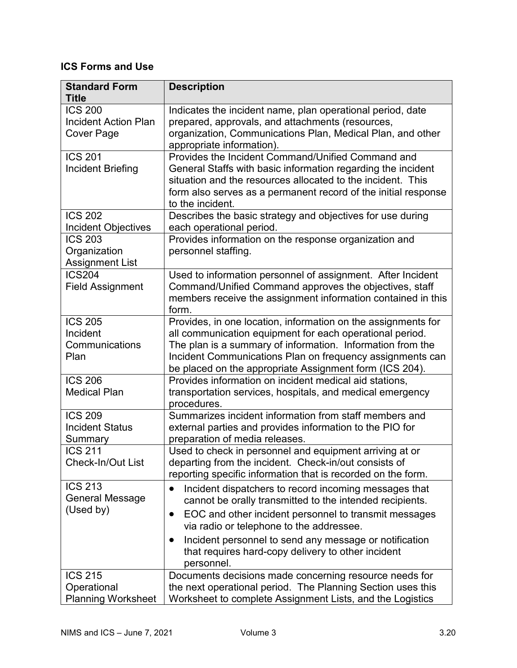# **ICS Forms and Use**

| <b>Standard Form</b><br><b>Title</b>                               | <b>Description</b>                                                                                                                                                                                                                                                                                              |
|--------------------------------------------------------------------|-----------------------------------------------------------------------------------------------------------------------------------------------------------------------------------------------------------------------------------------------------------------------------------------------------------------|
| <b>ICS 200</b><br><b>Incident Action Plan</b><br><b>Cover Page</b> | Indicates the incident name, plan operational period, date<br>prepared, approvals, and attachments (resources,<br>organization, Communications Plan, Medical Plan, and other<br>appropriate information).                                                                                                       |
| <b>ICS 201</b><br><b>Incident Briefing</b>                         | Provides the Incident Command/Unified Command and<br>General Staffs with basic information regarding the incident<br>situation and the resources allocated to the incident. This<br>form also serves as a permanent record of the initial response<br>to the incident.                                          |
| <b>ICS 202</b><br><b>Incident Objectives</b>                       | Describes the basic strategy and objectives for use during<br>each operational period.                                                                                                                                                                                                                          |
| <b>ICS 203</b><br>Organization<br><b>Assignment List</b>           | Provides information on the response organization and<br>personnel staffing.                                                                                                                                                                                                                                    |
| <b>ICS204</b><br><b>Field Assignment</b>                           | Used to information personnel of assignment. After Incident<br>Command/Unified Command approves the objectives, staff<br>members receive the assignment information contained in this<br>form.                                                                                                                  |
| <b>ICS 205</b><br>Incident<br>Communications<br>Plan               | Provides, in one location, information on the assignments for<br>all communication equipment for each operational period.<br>The plan is a summary of information. Information from the<br>Incident Communications Plan on frequency assignments can<br>be placed on the appropriate Assignment form (ICS 204). |
| <b>ICS 206</b><br><b>Medical Plan</b>                              | Provides information on incident medical aid stations,<br>transportation services, hospitals, and medical emergency<br>procedures.                                                                                                                                                                              |
| <b>ICS 209</b><br><b>Incident Status</b><br>Summary                | Summarizes incident information from staff members and<br>external parties and provides information to the PIO for<br>preparation of media releases.                                                                                                                                                            |
| <b>ICS 211</b><br>Check-In/Out List                                | Used to check in personnel and equipment arriving at or<br>departing from the incident. Check-in/out consists of<br>reporting specific information that is recorded on the form.                                                                                                                                |
| <b>ICS 213</b><br><b>General Message</b><br>(Used by)              | Incident dispatchers to record incoming messages that<br>cannot be orally transmitted to the intended recipients.<br>EOC and other incident personnel to transmit messages<br>via radio or telephone to the addressee.<br>Incident personnel to send any message or notification                                |
|                                                                    | that requires hard-copy delivery to other incident<br>personnel.                                                                                                                                                                                                                                                |
| <b>ICS 215</b><br>Operational<br><b>Planning Worksheet</b>         | Documents decisions made concerning resource needs for<br>the next operational period. The Planning Section uses this<br>Worksheet to complete Assignment Lists, and the Logistics                                                                                                                              |